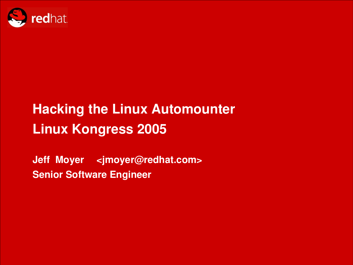

## **Hacking the Linux Automounter Linux Kongress 2005**

**Jeff Moyer [<jmoyer@redhat.com](mailto:jmoyer@redhat.com)> Senior Software Engineer**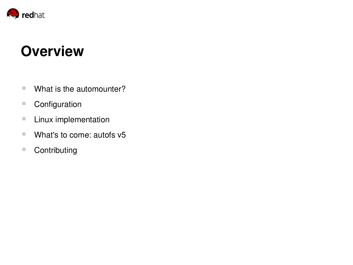

## **Overview**

- What is the automounter?
- Configuration
- **Linux implementation**
- What's to come: autofs v5
- Contributing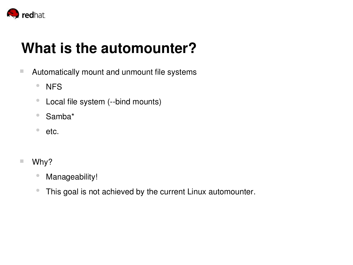

## **What is the automounter?**

- **E** Automatically mount and unmount file systems
	- NFS
	- Local file system (--bind mounts)
	- Samba\*
	- etc.
- Why?
	- Manageability!
	- This goal is not achieved by the current Linux automounter.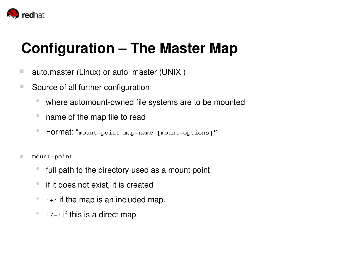

## **Configuration – The Master Map**

- auto.master (Linux) or auto\_master (UNIX)
- Source of all further configuration
	- where automount-owned file systems are to be mounted
	- name of the map file to read
	- Format: "mount-point map-name [mount-options]"
- $\blacksquare$  mount-point
	- full path to the directory used as a mount point
	- **•** if it does not exist, it is created
	- $\bullet$   $\bullet$   $\bullet$   $\bullet$  if the map is an included map.
	- $\bullet$   $\prime$   $\prime$  - $\prime$  if this is a direct map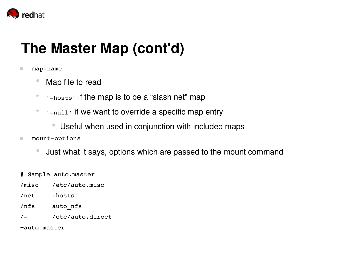

## **The Master Map (cont'd)**

#### $\blacksquare$  map-name

- Map file to read
- I-hosts' if the map is to be a "slash net" map
- 'null' if we want to override a specific map entry
	- Useful when used in conjunction with included maps
- $\blacksquare$  mount-options
	- Just what it says, options which are passed to the mount command
- # Sample auto.master
- /misc /etc/auto.misc
- /net hosts
- /nfs auto\_nfs
- / /etc/auto.direct

+auto\_master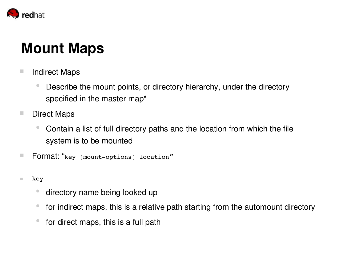

## **Mount Maps**

- Indirect Maps
	- Describe the mount points, or directory hierarchy, under the directory specified in the master map\*
- Direct Maps
	- Contain a list of full directory paths and the location from which the file system is to be mounted
- Format: "key [mount-options] location"
- $\blacksquare$  key
	- directory name being looked up
	- for indirect maps, this is a relative path starting from the automount directory
	- for direct maps, this is a full path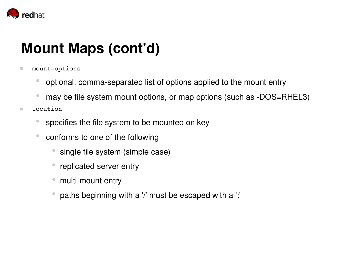

## **Mount Maps (cont'd)**

- $\blacksquare$  mount-options
	- optional, comma-separated list of options applied to the mount entry
	- may be file system mount options, or map options (such as -DOS=RHEL3)
- location
	- specifies the file system to be mounted on key
	- conforms to one of the following
		- single file system (simple case)
		- replicated server entry
		- multi-mount entry
		- paths beginning with a '/' must be escaped with a ':'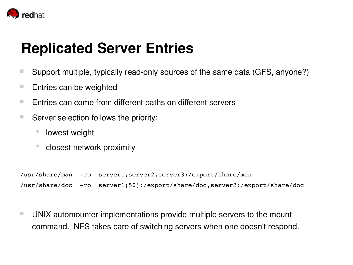

## **Replicated Server Entries**

- Support multiple, typically read-only sources of the same data (GFS, anyone?)
- $\blacksquare$  Entries can be weighted
- $\blacksquare$  Entries can come from different paths on different servers
- Server selection follows the priority:
	- lowest weight
	- closest network proximity

/usr/share/man -ro server1,server2,server3:/export/share/man /usr/share/doc -ro server1(50):/export/share/doc,server2:/export/share/doc

■ UNIX automounter implementations provide multiple servers to the mount command. NFS takes care of switching servers when one doesn't respond.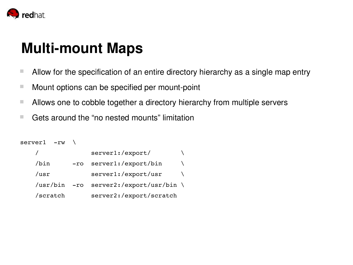

## **Multi-mount Maps**

- Allow for the specification of an entire directory hierarchy as a single map entry
- $\blacksquare$  Mount options can be specified per mount-point
- Allows one to cobble together a directory hierarchy from multiple servers
- Gets around the "no nested mounts" limitation

```
server1 -rw \sqrt{ }/ server1:/export/ \setminus/bin -ro server1:/export/bin \
   /usr server1:/export/usr \
   /usr/bin -ro server2:/export/usr/bin \
   /scratch server2:/export/scratch
```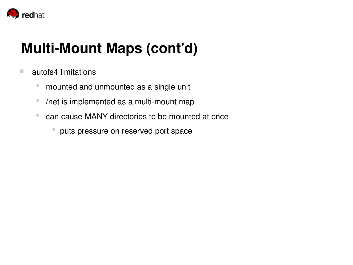

# **Multi-Mount Maps (cont'd)**

- autofs4 limitations
	- mounted and unmounted as a single unit
	- /net is implemented as a multi-mount map
	- can cause MANY directories to be mounted at once
		- puts pressure on reserved port space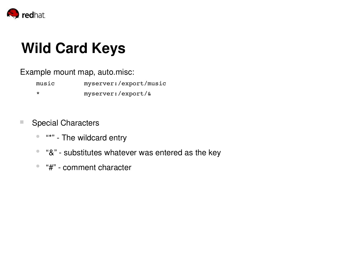

## **Wild Card Keys**

Example mount map, auto.misc:

music myserver:/export/music

\* myserver:/export/&

- Special Characters
	- "\*" The wildcard entry
	- "&" substitutes whatever was entered as the key
	- "#" comment character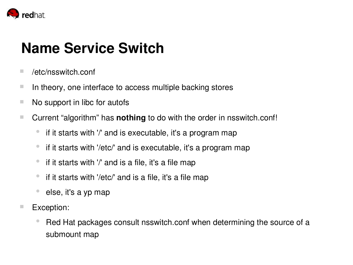

## **Name Service Switch**

- /etc/nsswitch.conf
- $\blacksquare$  In theory, one interface to access multiple backing stores
- $\blacksquare$  No support in libc for autofs
- Current "algorithm" has **nothing** to do with the order in nsswitch.conf!
	- if it starts with '/' and is executable, it's a program map
	- if it starts with '/etc/' and is executable, it's a program map
	- if it starts with '/' and is a file, it's a file map
	- if it starts with '/etc/' and is a file, it's a file map
	- else, it's a yp map
- Exception:
	- Red Hat packages consult nsswitch.conf when determining the source of a submount map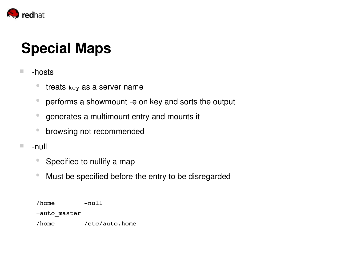

## **Special Maps**

- -hosts
	- treats key as a server name
	- performs a showmount -e on key and sorts the output
	- generates a multimount entry and mounts it
	- browsing not recommended
- $\blacksquare$  -null
	- Specified to nullify a map
	- Must be specified before the entry to be disregarded

/home null +auto\_master /home /etc/auto.home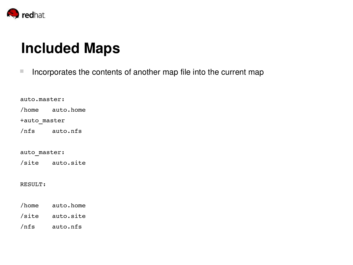

## **Included Maps**

 $\blacksquare$  Incorporates the contents of another map file into the current map

auto.master: /home auto.home +auto\_master /nfs auto.nfs auto\_master: /site auto.site RESULT: /home auto.home /site auto.site /nfs auto.nfs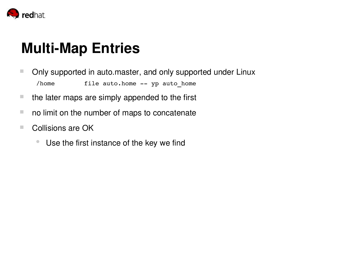

## **Multi-Map Entries**

- Only supported in auto.master, and only supported under Linux /home file auto.home -- yp auto home
- $\blacksquare$  the later maps are simply appended to the first
- $\blacksquare$  no limit on the number of maps to concatenate
- Collisions are OK
	- Use the first instance of the key we find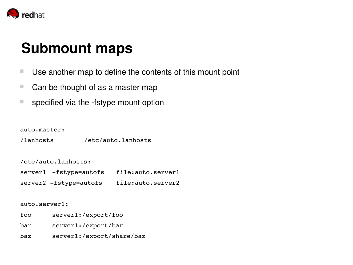

### **Submount maps**

- Use another map to define the contents of this mount point
- Can be thought of as a master map
- $\blacksquare$  specified via the -fstype mount option

auto.master:

/lanhosts /etc/auto.lanhosts

/etc/auto.lanhosts:

| server1 -fstype=autofs | file:auto.server1 |
|------------------------|-------------------|
| server2 -fstype=autofs | file:auto.server2 |

#### auto.server1:

- foo server1:/export/foo
- bar server1:/export/bar
- baz server1:/export/share/baz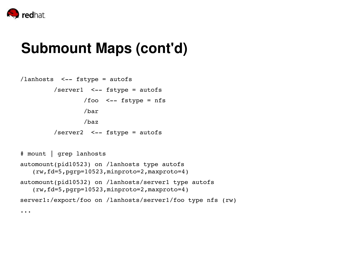

#### **Submount Maps (cont'd)**

```
/lanhosts \leq-- fstype = autofs
         /server1 \leftarrow fstype = autofs
                  /foo \leq-- fstype = nfs
                  /bar
                  /baz
         /server2 <-- fstype = autofs
# mount | grep lanhosts
```

```
automount(pid10523) on /lanhosts type autofs
   (rw,fd=5,pgrp=10523,minproto=2,maxproto=4)
automount(pid10532) on /lanhosts/server1 type autofs
   (rw,fd=5,pgrp=10523,minproto=2,maxproto=4)
server1:/export/foo on /lanhosts/server1/foo type nfs (rw)
```
...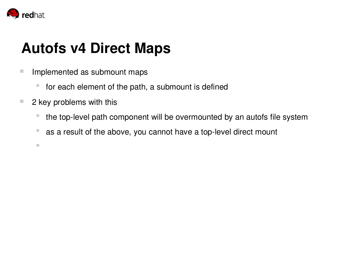

●

## **Autofs v4 Direct Maps**

- **Implemented as submount maps** 
	- for each element of the path, a submount is defined
- $\blacksquare$  2 key problems with this
	- the top-level path component will be overmounted by an autofs file system
	- as a result of the above, you cannot have a top-level direct mount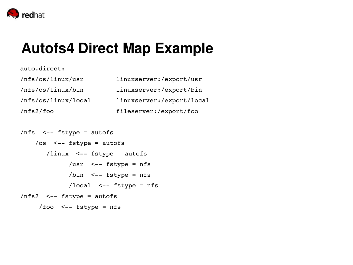

auto.direct:

#### **Autofs4 Direct Map Example**

| /nfs/os/linux/usr   | linuxserver:/export/usr   |
|---------------------|---------------------------|
| /nfs/os/linux/bin   | linuxserver:/export/bin   |
| /nfs/os/linux/local | linuxserver:/export/local |
| /nfs2/foo           | fileserver:/export/foo    |

```
/nfs <-- fstype = autofs
    /os <-- fstype = autofs
       \frac{1}{\sqrt{2}} /linux <-- fstype = autofs
              /usr \leq - fstype = nfs
              \binom{1}{1} <-- fstype = nfs
              /local \leq-- fstype = nfs
/nfs2 <-- fstype = autofs
     /foo <- fstype = nfs
```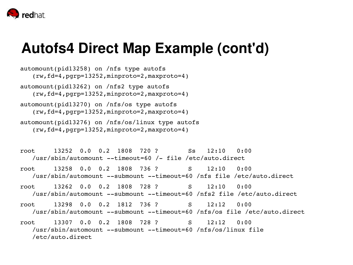

#### **Autofs4 Direct Map Example (cont'd)**

- automount(pid13258) on /nfs type autofs (rw,fd=4,pgrp=13252,minproto=2,maxproto=4) automount(pid13262) on /nfs2 type autofs (rw,fd=4,pgrp=13252,minproto=2,maxproto=4) automount(pid13270) on /nfs/os type autofs (rw,fd=4,pgrp=13252,minproto=2,maxproto=4) automount(pid13276) on /nfs/os/linux type autofs
- (rw,fd=4,pgrp=13252,minproto=2,maxproto=4)
- root 13252 0.0 0.2 1808 720 ? Ss 12:10 0:00 /usr/sbin/automount  $-\text{timeout}=60$  /- file /etc/auto.direct
- root 13258 0.0 0.2 1808 736 ? S 12:10 0:00 /usr/sbin/automount --submount --timeout=60 /nfs file /etc/auto.direct
- root 13262 0.0 0.2 1808 728 ? S 12:10 0:00 /usr/sbin/automount --submount --timeout=60 /nfs2 file /etc/auto.direct
- root 13298 0.0 0.2 1812 736 ? S 12:12 0:00 /usr/sbin/automount --submount --timeout=60 /nfs/os file /etc/auto.direct
- root 13307 0.0 0.2 1808 728 ? S 12:12 0:00 /usr/sbin/automount --submount --timeout=60 /nfs/os/linux file /etc/auto.direct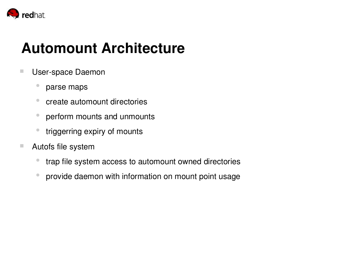

## **Automount Architecture**

- **User-space Daemon** 
	- parse maps
	- create automount directories
	- perform mounts and unmounts
	- triggerring expiry of mounts
- Autofs file system
	- trap file system access to automount owned directories
	- provide daemon with information on mount point usage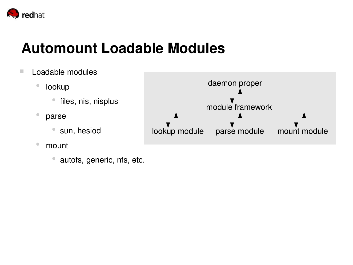

#### **Automount Loadable Modules**

- Loadable modules
	- lookup
		- files, nis, nisplus
	- parse
		- sun, hesiod
	- mount
		- autofs, generic, nfs, etc.

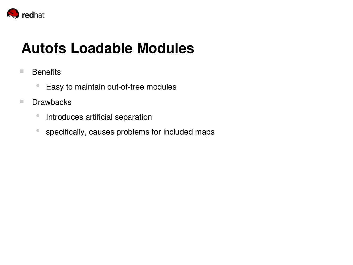

## **Autofs Loadable Modules**

- Benefits
	- Easy to maintain out-of-tree modules
- Drawbacks
	- Introduces artificial separation
	- specifically, causes problems for included maps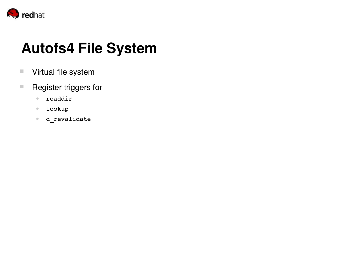

## **Autofs4 File System**

- **Virtual file system**
- Register triggers for
	- readdir
	- lookup
	- **d\_revalidate**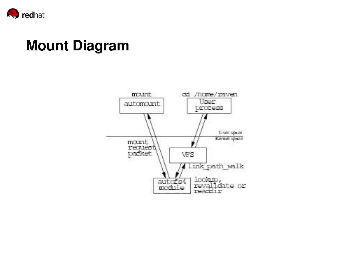

## **Mount Diagram**

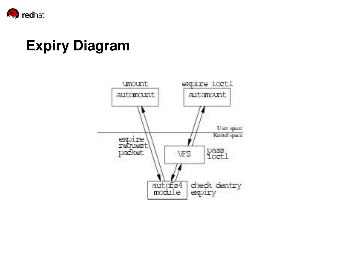

## **Expiry Diagram**

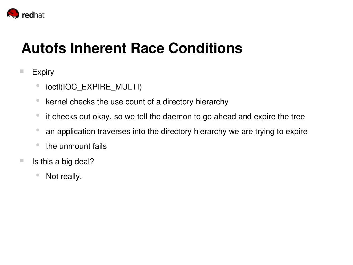

## **Autofs Inherent Race Conditions**

#### **Expiry**

- ioctl(IOC\_EXPIRE\_MULTI)
- kernel checks the use count of a directory hierarchy
- it checks out okay, so we tell the daemon to go ahead and expire the tree
- an application traverses into the directory hierarchy we are trying to expire
- the unmount fails
- $\blacksquare$  Is this a big deal?
	- Not really.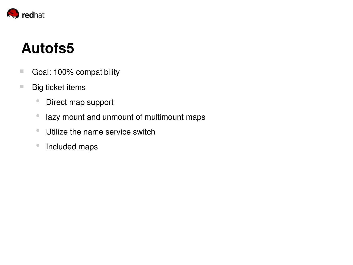

## **Autofs5**

- Goal: 100% compatibility
- Big ticket items
	- Direct map support
	- lazy mount and unmount of multimount maps
	- Utilize the name service switch
	- Included maps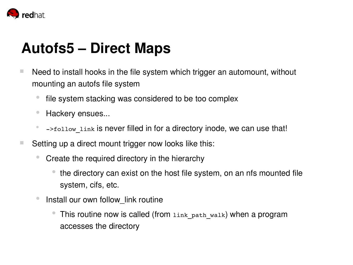

## **Autofs5 – Direct Maps**

- $\blacksquare$  Need to install hooks in the file system which trigger an automount, without mounting an autofs file system
	- file system stacking was considered to be too complex
	- Hackery ensues...
	- $-$ >follow link is never filled in for a directory inode, we can use that!
- Setting up a direct mount trigger now looks like this:
	- Create the required directory in the hierarchy
		- the directory can exist on the host file system, on an nfs mounted file system, cifs, etc.
	- Install our own follow\_link routine
		- This routine now is called (from link path walk) when a program accesses the directory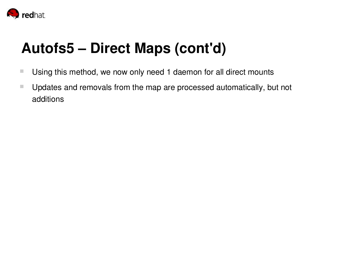

## **Autofs5 – Direct Maps (cont'd)**

- **Using this method, we now only need 1 daemon for all direct mounts**
- Updates and removals from the map are processed automatically, but not additions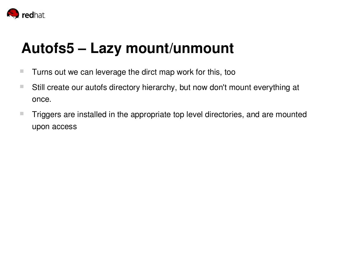

## **Autofs5 – Lazy mount/unmount**

- **Turns out we can leverage the dirct map work for this, too**
- Still create our autofs directory hierarchy, but now don't mount everything at once.
- **Triggers are installed in the appropriate top level directories, and are mounted** upon access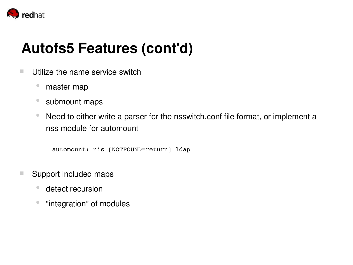

## **Autofs5 Features (cont'd)**

- $\blacksquare$  Utilize the name service switch
	- master map
	- submount maps
	- Need to either write a parser for the nsswitch.conf file format, or implement a nss module for automount

automount: nis [NOTFOUND=return] ldap

- Support included maps
	- detect recursion
	- "integration" of modules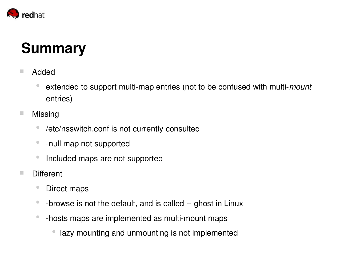

## **Summary**

- Added
	- extended to support multi-map entries (not to be confused with multi-*mount* entries)
- Missing
	- /etc/nsswitch.conf is not currently consulted
	- - null map not supported
	- Included maps are not supported
- Different
	- Direct maps
	- -browse is not the default, and is called -- ghost in Linux
	- -hosts maps are implemented as multi-mount maps
		- lazy mounting and unmounting is not implemented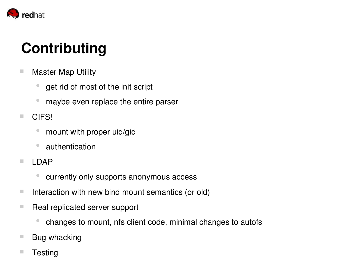

# **Contributing**

- **Master Map Utility** 
	- get rid of most of the init script
	- maybe even replace the entire parser
- **CIFS!** 
	- mount with proper uid/gid
	- authentication
- **LDAP** 
	- currently only supports anonymous access
- $\blacksquare$  Interaction with new bind mount semantics (or old)
- Real replicated server support
	- changes to mount, nfs client code, minimal changes to autofs
- Bug whacking
- Testing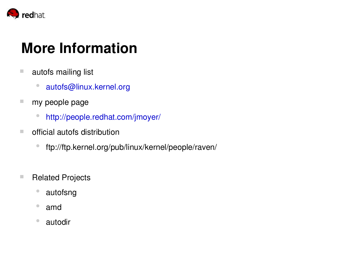

## **More Information**

- autofs mailing list
	- [autofs@linux.kernel.org](mailto:autofs@linux.kernel.org)
- my people page
	- <http://people.redhat.com/jmoyer/>
- official autofs distribution
	- ftp://ftp.kernel.org/pub/linux/kernel/people/raven/
- Related Projects
	- autofsng
	- amd
	- autodir